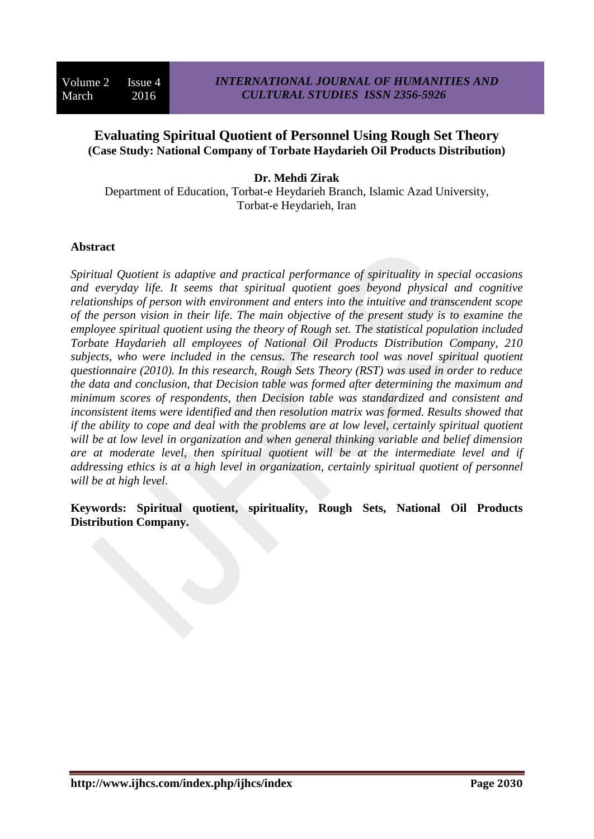# **Evaluating Spiritual Quotient of Personnel Using Rough Set Theory (Case Study: National Company of Torbate Haydarieh Oil Products Distribution)**

**Dr. Mehdi Zirak**

Department of Education, Torbat-e Heydarieh Branch, Islamic Azad University, Torbat-e Heydarieh, Iran

### **Abstract**

*Spiritual Quotient is adaptive and practical performance of spirituality in special occasions and everyday life. It seems that spiritual quotient goes beyond physical and cognitive relationships of person with environment and enters into the intuitive and transcendent scope of the person vision in their life. The main objective of the present study is to examine the employee spiritual quotient using the theory of Rough set. The statistical population included Torbate Haydarieh all employees of National Oil Products Distribution Company, 210 subjects, who were included in the census. The research tool was novel spiritual quotient questionnaire (2010). In this research, Rough Sets Theory (RST) was used in order to reduce the data and conclusion, that Decision table was formed after determining the maximum and minimum scores of respondents, then Decision table was standardized and consistent and inconsistent items were identified and then resolution matrix was formed. Results showed that if the ability to cope and deal with the problems are at low level, certainly spiritual quotient will be at low level in organization and when general thinking variable and belief dimension are at moderate level, then spiritual quotient will be at the intermediate level and if addressing ethics is at a high level in organization, certainly spiritual quotient of personnel will be at high level.*

**Keywords: Spiritual quotient, spirituality, Rough Sets, National Oil Products Distribution Company.**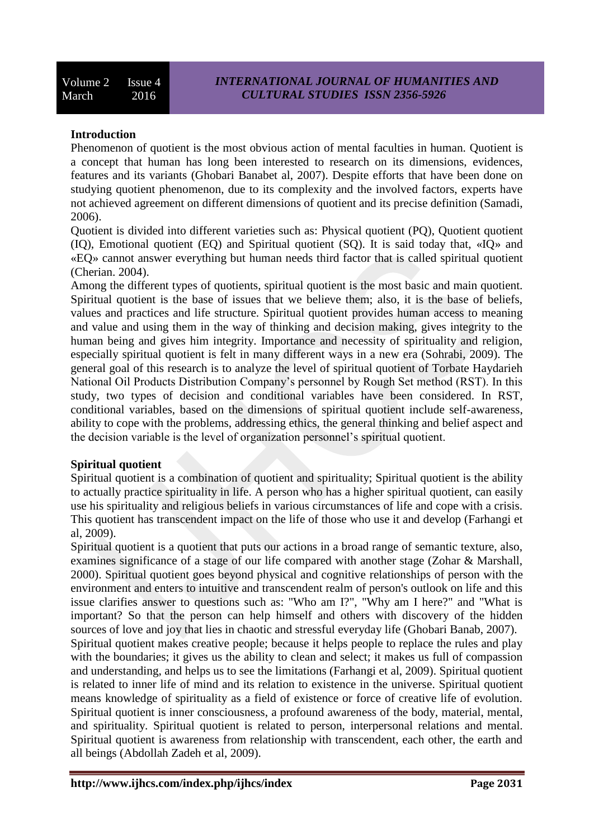## **Introduction**

Phenomenon of quotient is the most obvious action of mental faculties in human. Quotient is a concept that human has long been interested to research on its dimensions, evidences, features and its variants (Ghobari Banabet al, 2007). Despite efforts that have been done on studying quotient phenomenon, due to its complexity and the involved factors, experts have not achieved agreement on different dimensions of quotient and its precise definition (Samadi, 2006).

Quotient is divided into different varieties such as: Physical quotient (PQ), Quotient quotient (IQ), Emotional quotient (EQ) and Spiritual quotient (SQ). It is said today that, «IQ» and «EQ» cannot answer everything but human needs third factor that is called spiritual quotient (Cherian. 2004).

Among the different types of quotients, spiritual quotient is the most basic and main quotient. Spiritual quotient is the base of issues that we believe them; also, it is the base of beliefs, values and practices and life structure. Spiritual quotient provides human access to meaning and value and using them in the way of thinking and decision making, gives integrity to the human being and gives him integrity. Importance and necessity of spirituality and religion, especially spiritual quotient is felt in many different ways in a new era (Sohrabi, 2009). The general goal of this research is to analyze the level of spiritual quotient of Torbate Haydarieh National Oil Products Distribution Company's personnel by Rough Set method (RST). In this study, two types of decision and conditional variables have been considered. In RST, conditional variables, based on the dimensions of spiritual quotient include self-awareness, ability to cope with the problems, addressing ethics, the general thinking and belief aspect and the decision variable is the level of organization personnel's spiritual quotient.

### **Spiritual quotient**

Spiritual quotient is a combination of quotient and spirituality; Spiritual quotient is the ability to actually practice spirituality in life. A person who has a higher spiritual quotient, can easily use his spirituality and religious beliefs in various circumstances of life and cope with a crisis. This quotient has transcendent impact on the life of those who use it and develop (Farhangi et al, 2009).

Spiritual quotient is a quotient that puts our actions in a broad range of semantic texture, also, examines significance of a stage of our life compared with another stage (Zohar & Marshall, 2000). Spiritual quotient goes beyond physical and cognitive relationships of person with the environment and enters to intuitive and transcendent realm of person's outlook on life and this issue clarifies answer to questions such as: "Who am I?", "Why am I here?" and "What is important? So that the person can help himself and others with discovery of the hidden sources of love and joy that lies in chaotic and stressful everyday life (Ghobari Banab, 2007). Spiritual quotient makes creative people; because it helps people to replace the rules and play with the boundaries; it gives us the ability to clean and select; it makes us full of compassion and understanding, and helps us to see the limitations (Farhangi et al, 2009). Spiritual quotient is related to inner life of mind and its relation to existence in the universe. Spiritual quotient means knowledge of spirituality as a field of existence or force of creative life of evolution. Spiritual quotient is inner consciousness, a profound awareness of the body, material, mental, and spirituality. Spiritual quotient is related to person, interpersonal relations and mental. Spiritual quotient is awareness from relationship with transcendent, each other, the earth and all beings (Abdollah Zadeh et al, 2009).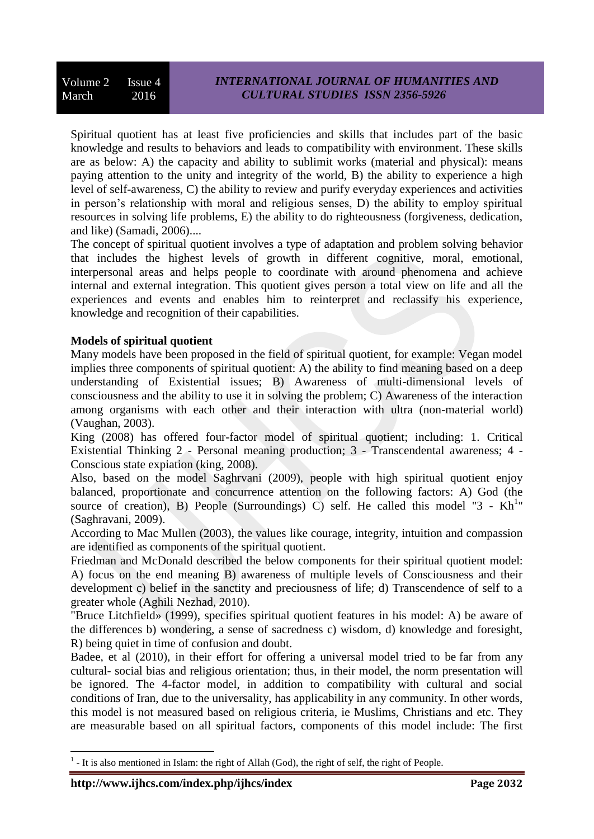Spiritual quotient has at least five proficiencies and skills that includes part of the basic knowledge and results to behaviors and leads to compatibility with environment. These skills are as below: A) the capacity and ability to sublimit works (material and physical): means paying attention to the unity and integrity of the world, B) the ability to experience a high level of self-awareness, C) the ability to review and purify everyday experiences and activities in person's relationship with moral and religious senses, D) the ability to employ spiritual resources in solving life problems, E) the ability to do righteousness (forgiveness, dedication, and like) (Samadi, 2006)....

The concept of spiritual quotient involves a type of adaptation and problem solving behavior that includes the highest levels of growth in different cognitive, moral, emotional, interpersonal areas and helps people to coordinate with around phenomena and achieve internal and external integration. This quotient gives person a total view on life and all the experiences and events and enables him to reinterpret and reclassify his experience, knowledge and recognition of their capabilities.

## **Models of spiritual quotient**

Many models have been proposed in the field of spiritual quotient, for example: Vegan model implies three components of spiritual quotient: A) the ability to find meaning based on a deep understanding of Existential issues; B) Awareness of multi-dimensional levels of consciousness and the ability to use it in solving the problem; C) Awareness of the interaction among organisms with each other and their interaction with ultra (non-material world) (Vaughan, 2003).

King (2008) has offered four-factor model of spiritual quotient; including: 1. Critical Existential Thinking 2 - Personal meaning production; 3 - Transcendental awareness; 4 - Conscious state expiation (king, 2008).

Also, based on the model Saghrvani (2009), people with high spiritual quotient enjoy balanced, proportionate and concurrence attention on the following factors: A) God (the source of creation), B) People (Surroundings) C) self. He called this model "3 -  $Kh<sup>1</sup>$ " (Saghravani, 2009).

According to Mac Mullen (2003), the values like courage, integrity, intuition and compassion are identified as components of the spiritual quotient.

Friedman and McDonald described the below components for their spiritual quotient model: A) focus on the end meaning B) awareness of multiple levels of Consciousness and their development c) belief in the sanctity and preciousness of life; d) Transcendence of self to a greater whole (Aghili Nezhad, 2010).

"Bruce Litchfield» (1999), specifies spiritual quotient features in his model: A) be aware of the differences b) wondering, a sense of sacredness c) wisdom, d) knowledge and foresight, R) being quiet in time of confusion and doubt.

Badee, et al (2010), in their effort for offering a universal model tried to be far from any cultural- social bias and religious orientation; thus, in their model, the norm presentation will be ignored. The 4-factor model, in addition to compatibility with cultural and social conditions of Iran, due to the universality, has applicability in any community. In other words, this model is not measured based on religious criteria, ie Muslims, Christians and etc. They are measurable based on all spiritual factors, components of this model include: The first

 $\overline{\phantom{a}}$  $<sup>1</sup>$  - It is also mentioned in Islam: the right of Allah (God), the right of self, the right of People.</sup>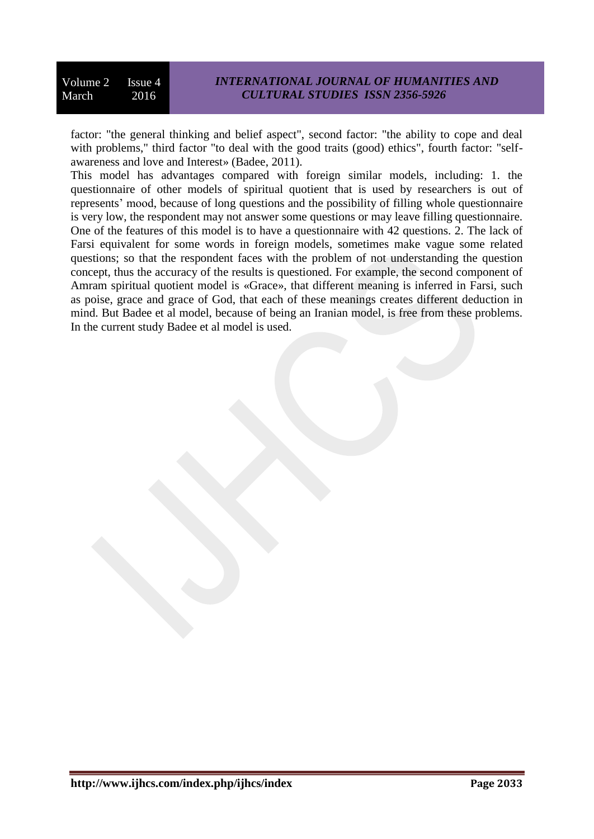factor: "the general thinking and belief aspect", second factor: "the ability to cope and deal with problems," third factor "to deal with the good traits (good) ethics", fourth factor: "selfawareness and love and Interest» (Badee, 2011).

This model has advantages compared with foreign similar models, including: 1. the questionnaire of other models of spiritual quotient that is used by researchers is out of represents' mood, because of long questions and the possibility of filling whole questionnaire is very low, the respondent may not answer some questions or may leave filling questionnaire. One of the features of this model is to have a questionnaire with 42 questions. 2. The lack of Farsi equivalent for some words in foreign models, sometimes make vague some related questions; so that the respondent faces with the problem of not understanding the question concept, thus the accuracy of the results is questioned. For example, the second component of Amram spiritual quotient model is «Grace», that different meaning is inferred in Farsi, such as poise, grace and grace of God, that each of these meanings creates different deduction in mind. But Badee et al model, because of being an Iranian model, is free from these problems. In the current study Badee et al model is used.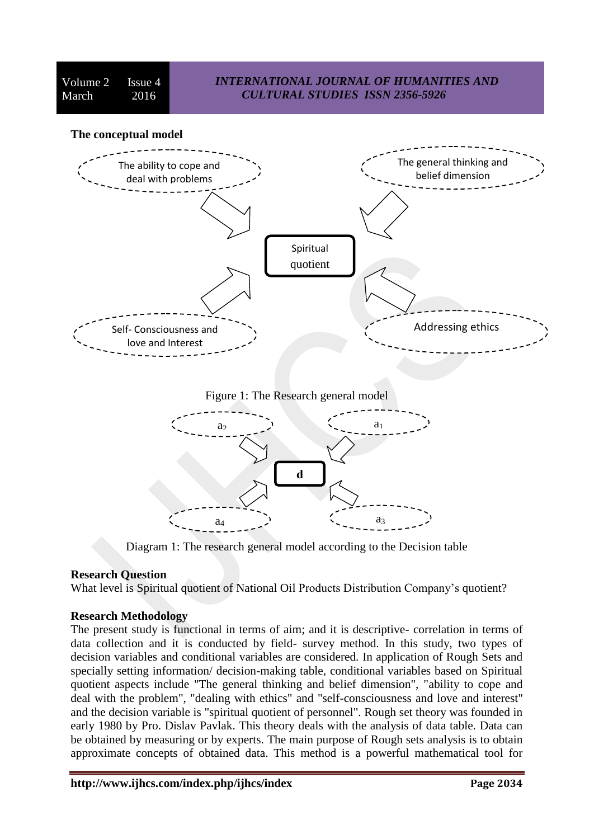Volume 2 Issue 4 March 2016

# *INTERNATIONAL JOURNAL OF HUMANITIES AND CULTURAL STUDIES ISSN 2356-5926*

#### **The conceptual model**



Figure 1: The Research general model



Diagram 1: The research general model according to the Decision table

### **Research Question**

What level is Spiritual quotient of National Oil Products Distribution Company's quotient?

### **Research Methodology**

The present study is functional in terms of aim; and it is descriptive- correlation in terms of data collection and it is conducted by field- survey method. In this study, two types of decision variables and conditional variables are considered. In application of Rough Sets and specially setting information/ decision-making table, conditional variables based on Spiritual quotient aspects include "The general thinking and belief dimension", "ability to cope and deal with the problem", "dealing with ethics" and "self-consciousness and love and interest" and the decision variable is "spiritual quotient of personnel". Rough set theory was founded in early 1980 by Pro. Dislav Pavlak. This theory deals with the analysis of data table. Data can be obtained by measuring or by experts. The main purpose of Rough sets analysis is to obtain approximate concepts of obtained data. This method is a powerful mathematical tool for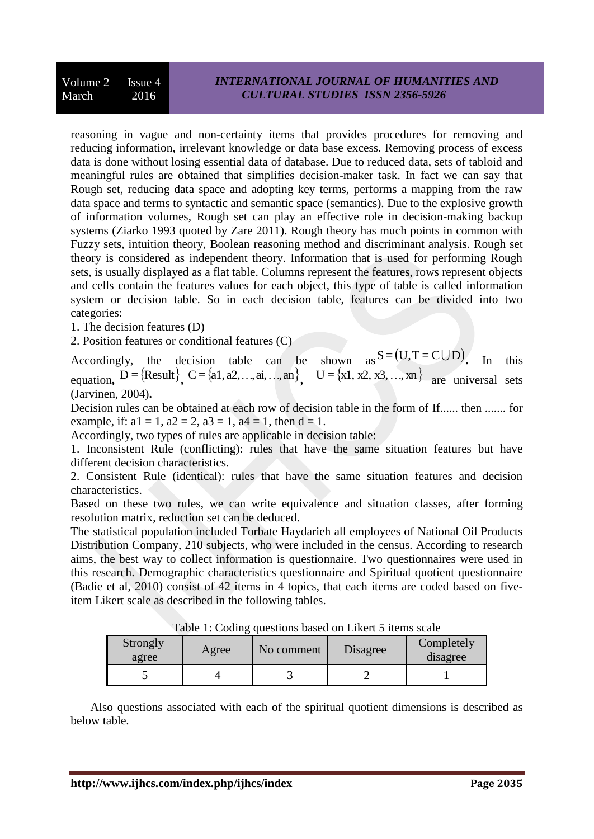reasoning in vague and non-certainty items that provides procedures for removing and reducing information, irrelevant knowledge or data base excess. Removing process of excess data is done without losing essential data of database. Due to reduced data, sets of tabloid and meaningful rules are obtained that simplifies decision-maker task. In fact we can say that Rough set, reducing data space and adopting key terms, performs a mapping from the raw data space and terms to syntactic and semantic space (semantics). Due to the explosive growth of information volumes, Rough set can play an effective role in decision-making backup systems (Ziarko 1993 quoted by Zare 2011). Rough theory has much points in common with Fuzzy sets, intuition theory, Boolean reasoning method and discriminant analysis. Rough set theory is considered as independent theory. Information that is used for performing Rough sets, is usually displayed as a flat table. Columns represent the features, rows represent objects and cells contain the features values for each object, this type of table is called information system or decision table. So in each decision table, features can be divided into two categories:

1. The decision features (D)

2. Position features or conditional features (C)

Accordingly, the decision table can be shown  $as S = (U, T = C \cup D)$ . In this equation,  $D = \{Result\}$ ,  $C = \{a1, a2, ..., ai, ..., an\}$ ,  $U = \{x1, x2, x3, ..., xn\}$  are universal sets (Jarvinen, 2004)**.** 

Decision rules can be obtained at each row of decision table in the form of If...... then ....... for example, if:  $a1 = 1$ ,  $a2 = 2$ ,  $a3 = 1$ ,  $a4 = 1$ , then  $d = 1$ .

Accordingly, two types of rules are applicable in decision table:

1. Inconsistent Rule (conflicting): rules that have the same situation features but have different decision characteristics.

2. Consistent Rule (identical): rules that have the same situation features and decision characteristics.

Based on these two rules, we can write equivalence and situation classes, after forming resolution matrix, reduction set can be deduced.

The statistical population included Torbate Haydarieh all employees of National Oil Products Distribution Company, 210 subjects, who were included in the census. According to research aims, the best way to collect information is questionnaire. Two questionnaires were used in this research. Demographic characteristics questionnaire and Spiritual quotient questionnaire (Badie et al, 2010) consist of 42 items in 4 topics, that each items are coded based on fiveitem Likert scale as described in the following tables.

| Strongly<br>agree | Agree | No comment | Disagree | Completely<br>disagree |  |
|-------------------|-------|------------|----------|------------------------|--|
|                   |       |            |          |                        |  |

Table 1: Coding questions based on Likert 5 items scale

Also questions associated with each of the spiritual quotient dimensions is described as below table.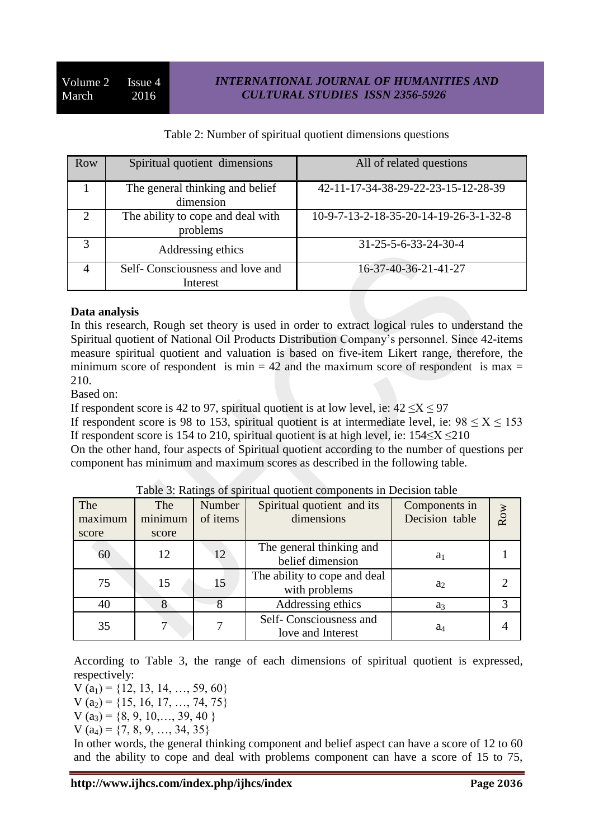## Table 2: Number of spiritual quotient dimensions questions

| Row           | Spiritual quotient dimensions                 | All of related questions               |
|---------------|-----------------------------------------------|----------------------------------------|
|               | The general thinking and belief<br>dimension  | 42-11-17-34-38-29-22-23-15-12-28-39    |
| $\mathcal{D}$ | The ability to cope and deal with<br>problems | 10-9-7-13-2-18-35-20-14-19-26-3-1-32-8 |
| 3             | Addressing ethics                             | $31 - 25 - 5 - 6 - 33 - 24 - 30 - 4$   |
|               | Self-Consciousness and love and<br>Interest   | 16-37-40-36-21-41-27                   |

### **Data analysis**

In this research, Rough set theory is used in order to extract logical rules to understand the Spiritual quotient of National Oil Products Distribution Company's personnel. Since 42-items measure spiritual quotient and valuation is based on five-item Likert range, therefore, the minimum score of respondent is min  $= 42$  and the maximum score of respondent is max  $=$ 210.

Based on:

If respondent score is 42 to 97, spiritual quotient is at low level, ie:  $42 \le X \le 97$ 

If respondent score is 98 to 153, spiritual quotient is at intermediate level, ie:  $98 \le X \le 153$ If respondent score is 154 to 210, spiritual quotient is at high level, ie:  $154 \le X \le 210$ 

On the other hand, four aspects of Spiritual quotient according to the number of questions per component has minimum and maximum scores as described in the following table.

| The<br>maximum<br>score | The<br>minimum<br>score | Number<br>of items | Spiritual quotient and its<br>dimensions      | Components in<br>Decision table | Row |
|-------------------------|-------------------------|--------------------|-----------------------------------------------|---------------------------------|-----|
| 60                      | 12                      | 12                 | The general thinking and<br>belief dimension  | a <sub>1</sub>                  |     |
| 75                      | 15                      | 15                 | The ability to cope and deal<br>with problems | a <sub>2</sub>                  |     |
| 40                      |                         |                    | Addressing ethics                             | $a_3$                           |     |
| 35                      |                         |                    | Self-Consciousness and<br>love and Interest   | a4                              |     |

#### Table 3: Ratings of spiritual quotient components in Decision table

According to Table 3, the range of each dimensions of spiritual quotient is expressed, respectively:

 $V (a_1) = \{12, 13, 14, ..., 59, 60\}$  $V (a<sub>2</sub>) = \{15, 16, 17, ..., 74, 75\}$  $V (a_3) = \{8, 9, 10, \ldots, 39, 40\}$ 

$$
V (a4) = \{7, 8, 9, ..., 34, 35\}
$$

In other words, the general thinking component and belief aspect can have a score of 12 to 60 and the ability to cope and deal with problems component can have a score of 15 to 75,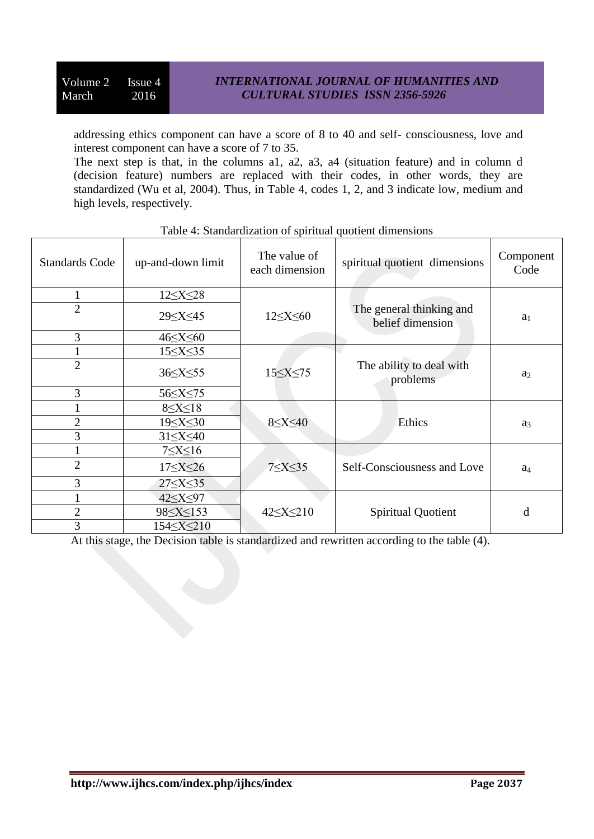addressing ethics component can have a score of 8 to 40 and self- consciousness, love and interest component can have a score of 7 to 35.

The next step is that, in the columns a1, a2, a3, a4 (situation feature) and in column d (decision feature) numbers are replaced with their codes, in other words, they are standardized (Wu et al, 2004). Thus, in Table 4, codes 1, 2, and 3 indicate low, medium and high levels, respectively.

| <b>Standards Code</b> | up-and-down limit   | The value of<br>each dimension | spiritual quotient dimensions                | Component<br>Code |
|-----------------------|---------------------|--------------------------------|----------------------------------------------|-------------------|
|                       | $12 \leq X \leq 28$ |                                |                                              |                   |
| $\overline{2}$        |                     | $12 \le X \le 60$              | The general thinking and<br>belief dimension | a <sub>1</sub>    |
| 3                     | $46 \leq X \leq 60$ |                                |                                              |                   |
|                       | $15 \leq X \leq 35$ |                                |                                              |                   |
| $\overline{2}$        | $36 \le X \le 55$   | $15 \leq X \leq 75$            | The ability to deal with<br>problems         | a <sub>2</sub>    |
| 3                     |                     |                                |                                              |                   |
|                       | $8 \leq X \leq 18$  |                                |                                              |                   |
| $\overline{2}$        |                     | $8 \leq X \leq 40$             | Ethics                                       | $a_3$             |
| 3                     | $31\leq X \leq 40$  |                                |                                              |                   |
|                       | $7 \leq X \leq 16$  |                                |                                              |                   |
| $\overline{2}$        | $17 \leq X \leq 26$ | $7 \leq X \leq 35$             | Self-Consciousness and Love                  | a <sub>4</sub>    |
| 3                     | $27 \le X \le 35$   |                                |                                              |                   |
|                       | 42 < X < 97         |                                |                                              |                   |
| $\overline{2}$        |                     | $42 \le X \le 210$             | Spiritual Quotient                           | d                 |
| 3                     | 154≤X≤210           |                                |                                              |                   |

## Table 4: Standardization of spiritual quotient dimensions

At this stage, the Decision table is standardized and rewritten according to the table (4).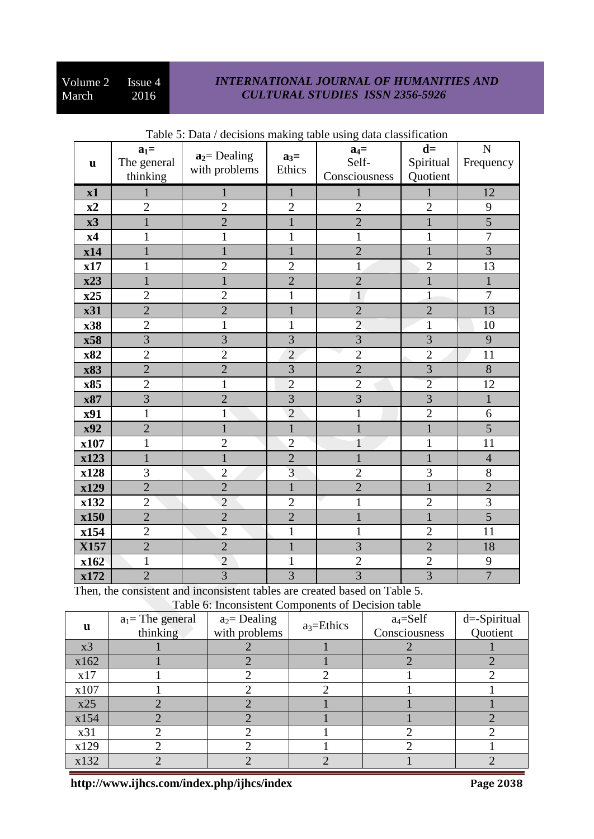## *INTERNATIONAL JOURNAL OF HUMANITIES AND CULTURAL STUDIES ISSN 2356-5926*

| $\mathbf u$ | $a_1 =$<br>The general<br>thinking | $a_2$ = Dealing<br>with problems | $a_3=$<br>Ethics | $a_4=$<br>Self-<br>Consciousness | $d=$<br>Spiritual<br>Quotient | $\mathbf N$<br>Frequency |
|-------------|------------------------------------|----------------------------------|------------------|----------------------------------|-------------------------------|--------------------------|
| x1          |                                    |                                  | $\mathbf{1}$     | 1                                | 1                             | 12                       |
| x2          | $\overline{2}$                     | $\overline{2}$                   | $\overline{2}$   | $\overline{2}$                   | $\overline{2}$                | 9                        |
| x3          | $\mathbf{1}$                       | $\overline{2}$                   | $\mathbf{1}$     | $\overline{2}$                   | $\mathbf{1}$                  | $\overline{5}$           |
| x4          | 1                                  | 1                                | $\mathbf{1}$     | 1                                | 1                             | $\overline{7}$           |
| x14         |                                    | $\mathbf{1}$                     | $\mathbf{1}$     | $\overline{2}$                   | $\mathbf{1}$                  | $\overline{3}$           |
| x17         | 1                                  | $\overline{2}$                   | $\overline{2}$   | 1                                | $\overline{2}$                | 13                       |
| x23         | $\mathbf{1}$                       | $\mathbf{1}$                     | $\overline{2}$   | $\overline{2}$                   | $\mathbf{1}$                  | $\mathbf{1}$             |
| x25         | $\overline{2}$                     | $\overline{2}$                   | $\mathbf{1}$     | $\mathbf{1}$                     | $\mathbf{1}$                  | $\overline{7}$           |
| x31         | $\overline{2}$                     | $\overline{2}$                   | $\mathbf{1}$     | $\overline{2}$                   | $\overline{2}$                | 13                       |
| x38         | $\overline{2}$                     | 1                                | $\mathbf{1}$     | $\overline{2}$                   | 1                             | 10                       |
| x58         | $\overline{3}$                     | $\overline{3}$                   | 3                | $\overline{3}$                   | $\overline{3}$                | 9                        |
| x82         | $\overline{2}$                     | $\overline{2}$                   | $\overline{2}$   | $\overline{2}$                   | $\overline{2}$                | 11                       |
| x83         | $\overline{2}$                     | $\overline{2}$                   | $\overline{3}$   | $\overline{2}$                   | $\overline{3}$                | 8                        |
| x85         | $\overline{2}$                     | 1                                | $\overline{2}$   | $\overline{2}$                   | $\overline{2}$                | 12                       |
| x87         | $\overline{3}$                     | $\overline{2}$                   | $\overline{3}$   | 3                                | $\overline{3}$                | $\mathbf{1}$             |
| x91         | $\mathbf{1}$                       | $\mathbf{1}$                     | $\overline{2}$   | 1                                | $\overline{2}$                | 6                        |
| x92         | $\overline{2}$                     | $\mathbf{1}$                     | $\mathbf{1}$     | $\mathbf{1}$                     | $\mathbf{1}$                  | $\overline{5}$           |
| x107        | 1                                  | $\overline{2}$                   | $\overline{2}$   | 1                                | 1                             | 11                       |
| x123        | $\mathbf{1}$                       | $\mathbf{1}$                     | $\overline{2}$   | $\mathbf{1}$                     | $\mathbf{1}$                  | $\overline{4}$           |
| x128        | 3                                  | $\overline{2}$                   | $\overline{3}$   | $\overline{2}$                   | 3                             | 8                        |
| x129        | $\overline{2}$                     | $\overline{2}$                   | $\mathbf{1}$     | $\overline{2}$                   | $\mathbf{1}$                  | $\overline{2}$           |
| x132        | $\overline{2}$                     | $\overline{2}$                   | $\overline{2}$   | 1                                | $\overline{2}$                | $\overline{3}$           |
| x150        | $\overline{2}$                     | $\overline{2}$                   | $\overline{2}$   | $\mathbf{1}$                     | $\mathbf{1}$                  | $\overline{5}$           |
| x154        | $\overline{2}$                     | $\overline{2}$                   | $\mathbf{1}$     | 1                                | $\overline{2}$                | 11                       |
| X157        | $\overline{2}$                     | $\overline{2}$                   | $\mathbf{1}$     | $\overline{3}$                   | $\overline{2}$                | 18                       |
| x162        | $\mathbf{1}$                       | $\overline{2}$                   | $\mathbf{1}$     | $\overline{2}$                   | $\overline{2}$                | 9                        |
| x172        | $\overline{2}$                     | $\overline{3}$                   | $\overline{3}$   | $\overline{\mathbf{3}}$          | $\overline{3}$                | $\overline{7}$           |

## Table 5: Data / decisions making table using data classification

Then, the consistent and inconsistent tables are created based on Table 5. Table 6: Inconsistent Components of Decision table

| Table 6. Inconsistent Components of Decision table |                   |                 |               |               |              |  |  |  |
|----------------------------------------------------|-------------------|-----------------|---------------|---------------|--------------|--|--|--|
| u                                                  | $a_1$ The general | $a_2$ = Dealing | $a_3$ =Ethics | $a_4 =$ Self  | d=-Spiritual |  |  |  |
|                                                    | thinking          | with problems   |               | Consciousness | Quotient     |  |  |  |
| x3                                                 |                   |                 |               |               |              |  |  |  |
| x162                                               |                   |                 |               |               |              |  |  |  |
| x17                                                |                   |                 |               |               |              |  |  |  |
| x107                                               |                   |                 |               |               |              |  |  |  |
| x25                                                |                   |                 |               |               |              |  |  |  |
| x154                                               |                   |                 |               |               |              |  |  |  |
| x31                                                |                   |                 |               |               |              |  |  |  |
| x129                                               |                   |                 |               |               |              |  |  |  |
| x132                                               |                   |                 |               |               |              |  |  |  |

**http://www.ijhcs.com/index.php/ijhcs/index Page 2038**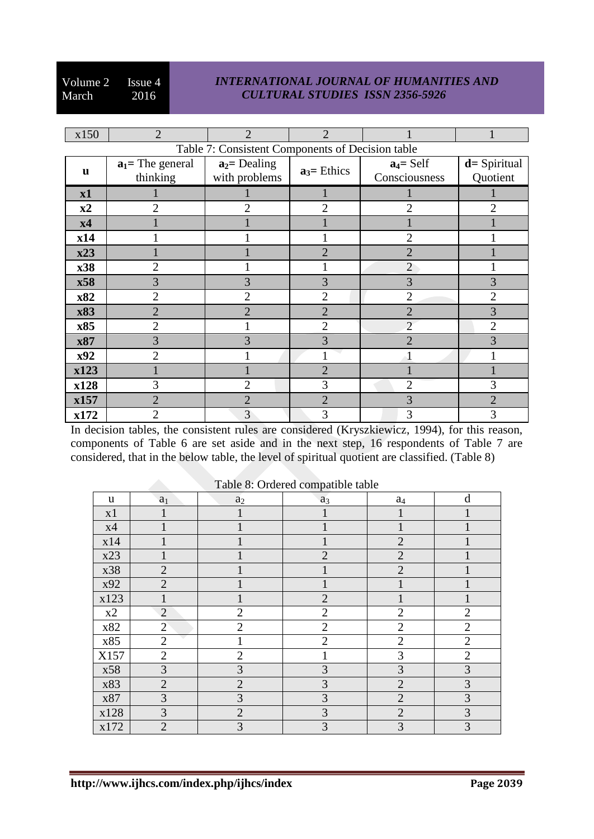## *INTERNATIONAL JOURNAL OF HUMANITIES AND CULTURAL STUDIES ISSN 2356-5926*

| x150                                             | $\overline{2}$                  | $\overline{2}$                   | $\overline{2}$ |                               |                             |  |  |  |
|--------------------------------------------------|---------------------------------|----------------------------------|----------------|-------------------------------|-----------------------------|--|--|--|
| Table 7: Consistent Components of Decision table |                                 |                                  |                |                               |                             |  |  |  |
| u                                                | $a_1$ = The general<br>thinking | $a_2$ = Dealing<br>with problems | $a_3$ = Ethics | $a_4 = Self$<br>Consciousness | $d =$ Spiritual<br>Quotient |  |  |  |
| x1                                               |                                 |                                  |                |                               |                             |  |  |  |
| x2                                               | 2                               | $\overline{2}$                   | $\overline{2}$ | $\overline{2}$                | $\overline{2}$              |  |  |  |
| x4                                               |                                 |                                  |                |                               |                             |  |  |  |
| x14                                              |                                 |                                  |                | 2                             |                             |  |  |  |
| x23                                              |                                 |                                  | $\overline{2}$ | $\overline{2}$                |                             |  |  |  |
| x38                                              | $\overline{2}$                  |                                  |                | $\overline{2}$                |                             |  |  |  |
| x58                                              | 3                               | 3                                | 3              | 3                             | 3                           |  |  |  |
| x82                                              | $\overline{2}$                  | $\overline{2}$                   | $\overline{2}$ | $\overline{2}$                | $\overline{2}$              |  |  |  |
| x83                                              | $\overline{2}$                  | $\overline{2}$                   | $\overline{2}$ | $\overline{2}$                | 3                           |  |  |  |
| x85                                              | $\overline{2}$                  |                                  | $\overline{2}$ | $\overline{2}$                | $\overline{2}$              |  |  |  |
| x87                                              | 3                               | 3                                | 3              | $\overline{2}$                | 3                           |  |  |  |
| x92                                              | $\overline{2}$                  |                                  |                |                               |                             |  |  |  |
| x123                                             |                                 |                                  | $\overline{2}$ |                               |                             |  |  |  |
| x128                                             | 3                               | $\overline{2}$                   | 3              | $\overline{2}$                | 3                           |  |  |  |
| x157                                             | $\overline{2}$                  | $\overline{2}$                   | $\overline{2}$ | 3                             | $\overline{2}$              |  |  |  |
| x172                                             | $\overline{2}$                  | 3                                | 3              | 3                             | 3                           |  |  |  |

In decision tables, the consistent rules are considered (Kryszkiewicz, 1994), for this reason, components of Table 6 are set aside and in the next step, 16 respondents of Table 7 are considered, that in the below table, the level of spiritual quotient are classified. (Table 8)

|      |                |                | x.             |                |                |
|------|----------------|----------------|----------------|----------------|----------------|
| u    | $\mathbf{a}_1$ | a <sub>2</sub> | $a_3$          | $a_4$          | d              |
| x1   |                |                |                |                |                |
| x4   |                |                |                |                |                |
| x14  |                |                |                | $\overline{2}$ |                |
| x23  |                |                | $\overline{2}$ | $\overline{2}$ |                |
| x38  | $\overline{2}$ |                |                | $\overline{2}$ |                |
| x92  | $\overline{2}$ |                |                |                |                |
| x123 | $\mathbf{1}$   |                | $\overline{2}$ |                |                |
| x2   | $\overline{2}$ | $\overline{2}$ | $\overline{2}$ | $\overline{2}$ | $\overline{2}$ |
| x82  | $\overline{2}$ | $\overline{2}$ | $\overline{2}$ | $\overline{2}$ | $\overline{2}$ |
| x85  | $\overline{2}$ | $\mathbf{1}$   | $\overline{2}$ | $\overline{2}$ | $\overline{2}$ |
| X157 | $\overline{2}$ | $\overline{2}$ | 1              | 3              | $\overline{c}$ |
| x58  | 3              | 3              | 3              | 3              | 3              |
| x83  | $\overline{2}$ | $\overline{2}$ | 3              | $\overline{2}$ | 3              |
| x87  | 3              | 3              | 3              | $\overline{2}$ | 3              |
| x128 | 3              | $\overline{2}$ | 3              | $\overline{2}$ | 3              |
| x172 | $\overline{2}$ | 3              | 3              | 3              | 3              |

Table 8: Ordered compatible table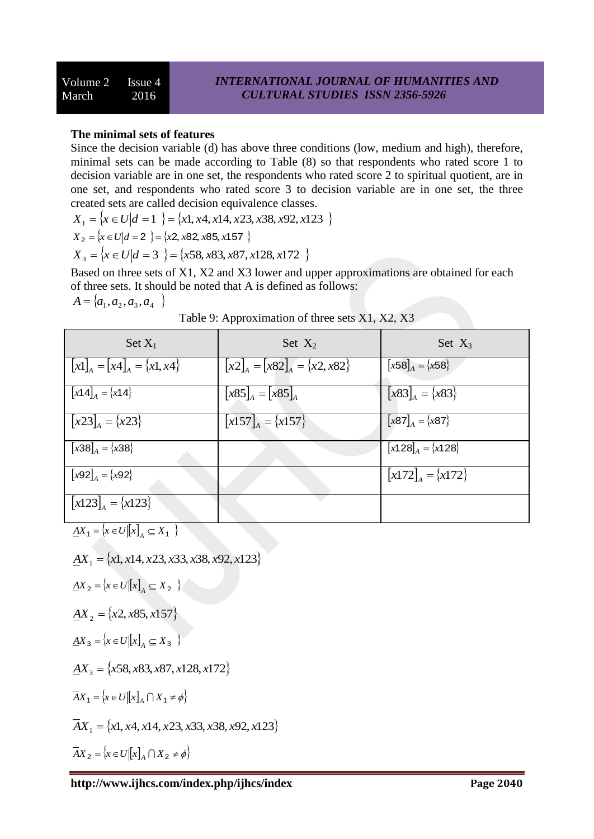## **The minimal sets of features**

Since the decision variable (d) has above three conditions (low, medium and high), therefore, minimal sets can be made according to Table (8) so that respondents who rated score 1 to decision variable are in one set, the respondents who rated score 2 to spiritual quotient, are in one set, and respondents who rated score 3 to decision variable are in one set, the three created sets are called decision equivalence classes.

$$
X_1 = \{x \in U | d = 1 \} = \{x1, x4, x14, x23, x38, x92, x123 \}
$$

$$
X_2 = \{x \in U | d = 2 \} = \{x2, x82, x85, x157 \}
$$

 $X_3 = \{x \in U | d = 3 \} = \{x58, x83, x87, x128, x172 \}$ 

Based on three sets of X1, X2 and X3 lower and upper approximations are obtained for each of three sets. It should be noted that A is defined as follows:  $A = \{a_1, a_2, a_3, a_4\}$ 

| $\text{Set }X_1$                 | Set $X_2$                        | Set $X_3$             |
|----------------------------------|----------------------------------|-----------------------|
| $[x1]_A = [x4]_A = \{x1, x4\}$   | $[x2]_A = [x82]_A = \{x2, x82\}$ | $[x58]_A = \{x58\}$   |
| $[x14]_A = \{x14\}$              | $[x85]_A = [x85]_A$              | $[x83]_A = \{x83\}$   |
| $\left[ x23 \right]_A = \{x23\}$ | $\left[x157\right]_A = \{x157\}$ | $[x87]_A = \{x87\}$   |
| $[x38]_A = \{x38\}$              |                                  | $[x128]_A = \{x128\}$ |
| $[x92]_A = \{x92\}$              |                                  | $[x172]_4 = \{x172\}$ |
| $[x123]_4 = \{x123\}$            |                                  |                       |

| Table 9: Approximation of three sets X1, X2, X3 |  |  |
|-------------------------------------------------|--|--|
|-------------------------------------------------|--|--|

 $\underline{A}X_1 = \{x \in U \mid x \rfloor_A \subseteq X_1 \}$ 

$$
\underline{AX}_1 = \{x1, x14, x23, x33, x38, x92, x123\}
$$

$$
\underline{A}X_2 = \left\{ x \in U \middle| \left[ x \right]_A \subseteq X_2 \right\}
$$

$$
\underline{A}X_2 = \{x2, x85, x157\}
$$

$$
\underline{A}X_3 = \left\{ x \in U \middle| \left[ x \right]_A \subseteq X_3 \right\}
$$

$$
\underline{AX}_3 = \{x58, x83, x87, x128, x172\}
$$

$$
\overline{A}X_1 = \{x \in U[[x]]_A \cap X_1 \neq \phi\}
$$

 $\overline{AX}_1 = \{x1, x4, x14, x23, x33, x38, x92, x123\}$ 

$$
\overline{A}X_2 = \{x \in U[[x]_A \cap X_2 \neq \phi\}
$$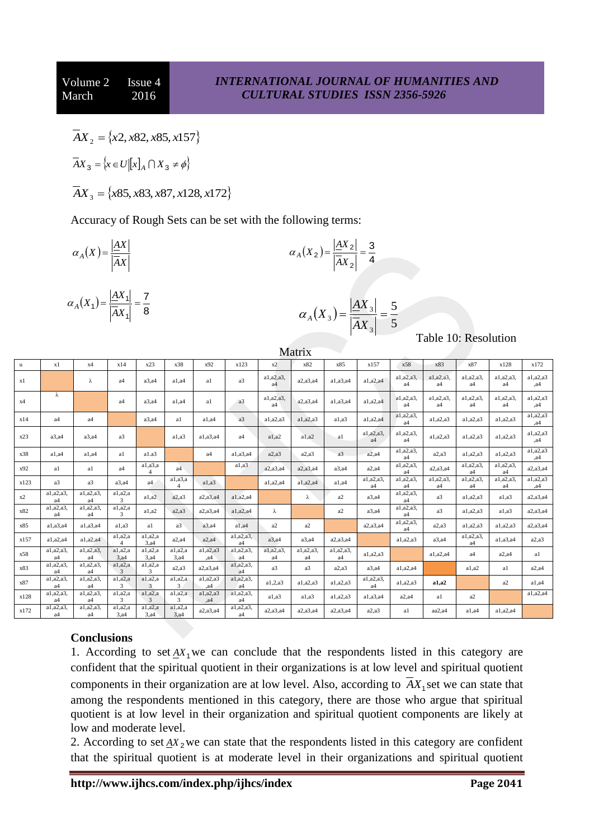$\overline{A}X_2 = \{x2, x82, x85, x157\}$ 

$$
\overline{A}X_3 = \{x \in U \mid [x]_A \cap X_3 \neq \phi\}
$$

 $\overline{A}X_3 = \{x85, x83, x87, x128, x172\}$ 

Accuracy of Rough Sets can be set with the following terms:

$$
\alpha_A(X) = \frac{|AX|}{|AX|}
$$

$$
\alpha_A(X_1) = \frac{|AX_1|}{|AX_1|} = \frac{7}{8}
$$

$$
\alpha_A(X_2) = \frac{|AX_2|}{|AX_2|} = \frac{3}{4}
$$

$$
\alpha_A(X_3) = \frac{|AX_3|}{|AX_3|} = \frac{5}{5}
$$

Table 10: Resolution

|              |                             |                 |                                  |                                        |                    |                            |                              |                 | TATALLIV                   |                             |                             |                               |                             |                             |                             |                  |
|--------------|-----------------------------|-----------------|----------------------------------|----------------------------------------|--------------------|----------------------------|------------------------------|-----------------|----------------------------|-----------------------------|-----------------------------|-------------------------------|-----------------------------|-----------------------------|-----------------------------|------------------|
| $\mathbf{u}$ | x1                          | x4              | x14                              | x23                                    | x38                | x92                        | x123                         | x2              | x82                        | x85                         | x157                        | x58                           | x83                         | x87                         | x128                        | x172             |
| x1           |                             | $\lambda$       | a4                               | a3.a4                                  | a1.a4              | a1                         | a <sub>3</sub>               | a1,a2,a3,<br>a4 | a2,a3,a4                   | a1,a3,a4                    | a1, a2, a4                  | a1,a2,a3.<br>a4               | a1,a2,a3,<br>a4             | a1,a2,a3.<br>a <sub>4</sub> | a1,a2,a3.<br>a <sub>4</sub> | a1,a2,a3<br>, a4 |
| x4           | λ                           |                 | a4                               | $a3$ , $a4$                            | a1.a4              | al                         | a3                           | a1,a2,a3,<br>a4 | a2, a3, a4                 | a1,a3,a4                    | a1,a2,a4                    | a1,a2,a3.<br>a <sub>4</sub>   | a1,a2,a3.<br>a <sub>4</sub> | a1,a2,a3.<br>a4             | a1,a2,a3.<br>a4             | a1,a2,a3<br>, a4 |
| x14          | a <sub>4</sub>              | a <sub>4</sub>  |                                  | $a3$ , $a4$                            | a1                 | a1.a4                      | a <sub>3</sub>               | a1,a2,a3        | a1, a2, a3                 | a1.a3                       | a1,a2,a4                    | a1, a2, a3,<br>a4             | a1, a2, a3                  | a1,a2,a3                    | a1,a2,a3                    | a1,a2,a3<br>, a4 |
| x23          | a3.a4                       | $a3$ , $a4$     | a3                               |                                        | a1.a3              | a1,a3,a4                   | a <sub>4</sub>               | a1.a2           | a1.a2                      | a1                          | a1,a2,a3,<br>a <sub>4</sub> | a1, a2, a3,<br>a4             | a1,a2,a3                    | a1,a2,a3                    | a1,a2,a3                    | a1,a2,a3<br>a4   |
| x38          | a1.a4                       | $a1$ , $a4$     | a1                               | a1.a3                                  |                    | a4                         | a1,a3,a4                     | a2, a3          | a2, a3                     | a <sub>3</sub>              | a2.a4                       | a1, a2, a3,<br>a <sub>4</sub> | a2.a3                       | a1,a2,a3                    | a1,a2,a3                    | a1,a2,a3<br>, a4 |
| x92          | a1                          | a1              | a4                               | a1, a3, a<br>$\boldsymbol{\varLambda}$ | a <sub>4</sub>     |                            | a1.a3                        | a2, a3, a4      | a2,a3,a4                   | $a3$ , $a4$                 | a2.a4                       | a1, a2, a3,<br>a <sub>4</sub> | a2, a3, a4                  | a1,a2,a3.<br>a <sub>4</sub> | a1,a2,a3,<br>a4             | a2,a3,a4         |
| x123         | a <sup>3</sup>              | a3              | $a3$ , $a4$                      | a4                                     | a1, a3, a          | a1.a3                      |                              | a1,a2,a4        | a1,a2,a4                   | a1.a4                       | a1,a2,a3,<br>a <sub>4</sub> | a1,a2,a3.<br>a4               | a1,a2,a3,<br>a4             | a1,a2,a3<br>a4              | a1,a2,a3.<br>a4             | a1,a2,a3<br>, a4 |
| x2           | a1,a2,a3,<br>a <sub>4</sub> | a1,a2,a3,<br>a4 | a1,a2,a<br>3                     | a1,a2                                  | a2.a3              | a2,a3,a4                   | a1,a2,a4                     |                 | λ                          | a2                          | $a3$ , $a4$                 | a1, a2, a3,<br>a4             | a <sub>3</sub>              | a1,a2,a3                    | a1.a3                       | a2,a3,a4         |
| x82          | a1,a2,a3,<br>a4             | a1,a2,a3,<br>a4 | a1,a2,a<br>3                     | a1.a2                                  | a2.a3              | a2,a3,a4                   | a1,a2,a4                     | λ               |                            | a2                          | a3.a4                       | a1, a2, a3,<br>a4             | a3                          | a1, a2, a3                  | a1.a3                       | a2,a3,a4         |
| x85          | a1,a3,a4                    | a1,a3,a4        | a1, a3                           | a1                                     | a <sub>3</sub>     | $a3$ , $a4$                | a1.a4                        | a2              | a2                         |                             | a2, a3, a4                  | a1, a2, a3,<br>a4             | a2, a3                      | a1,a2,a3                    | a1, a2, a3                  | a2,a3,a4         |
| x157         | $a1$ , $a2$ , $a4$          | a1,a2,a4        | a1,a2,a<br>$\boldsymbol{\Delta}$ | a1, a2, a<br>3, a4                     | a2.a4              | a2.a4                      | a1,a2,a3,<br>a4              | $a3$ , $a4$     | a3.a4                      | a2,a3,a4                    |                             | a1,a2,a3                      | a3.a4                       | a1,a2,a3,<br>a <sub>4</sub> | a1,a3,a4                    | a2, a3           |
| x58          | a1,a2,a3,<br>a <sub>4</sub> | a1,a2,a3,<br>a4 | a1, a2, a<br>3, a4               | a1, a2, a<br>3.a4                      | a1,a2,a<br>3.a4    | a1,a2,a3<br>.a4            | a1,a2,a3.<br>a4              | a1,a2,a3,<br>a4 | a1,a2,a3<br>a <sub>4</sub> | a1,a2,a3,<br>a <sub>4</sub> | a1, a2, a3                  |                               | $a1$ , $a2$ , $a4$          | a <sub>4</sub>              | a2.a4                       | a1               |
| x83          | a1,a2,a3,<br>a4             | a1,a2,a3,<br>a4 | a1,a2,a<br>3                     | a1, a2, a<br>3                         | a2.a3              | a2,a3,a4                   | a1,a2,a3,<br>a <sub>4</sub>  | a3              | a <sup>3</sup>             | a2.a3                       | a3.a4                       | a1,a2,a4                      |                             | a1, a2                      | a1                          | $a2$ , $a4$      |
| x87          | a1,a2,a3,<br>a <sub>4</sub> | a1,a2,a3,<br>a4 | a1,a2,a<br>3                     | a1, a2, a<br>3                         | a1,a2,a<br>3       | a1,a2,a3<br>a <sub>4</sub> | a1, a2, a3<br>a <sub>4</sub> | a1,2,a3         | a1,a2,a3                   | a1.a2.a3                    | a1,a2,a3,<br>a <sub>4</sub> | a1, a2, a3                    | a1.a2                       |                             | a2                          | a1.a4            |
| x128         | a1,a2,a3,<br>a4             | a1,a2,a3,<br>a4 | a1,a2,a<br>3                     | a1, a2, a<br>3                         | a1,a2,a<br>3       | a1,a2,a3<br>, a4           | a1,a2,a3,<br>a4              | a1, a3          | a1, a3                     | a1,a2,a3                    | a1,a3,a4                    | $a2$ , $a4$                   | a1                          | a2                          |                             | a1,a2,a4         |
| x172         | a1,a2,a3,<br>a4             | a1,a2,a3,<br>a4 | a1,a2,a<br>3, a4                 | a1, a2, a<br>3, a4                     | a1, a2, a<br>3, a4 | a2,a3,a4                   | a1,a2,a3,<br>a4              | a2,a3,a4        | a2,a3,a4                   | a2, a3, a4                  | a2.a3                       | a1                            | aa2.a4                      | $a1$ , $a4$                 | a1,a2,a4                    |                  |

Matrix

# **Conclusions**

1. According to set  $AX_1$  we can conclude that the respondents listed in this category are confident that the spiritual quotient in their organizations is at low level and spiritual quotient components in their organization are at low level. Also, according to  $AX_1$  set we can state that among the respondents mentioned in this category, there are those who argue that spiritual quotient is at low level in their organization and spiritual quotient components are likely at low and moderate level.

2. According to set  $\Delta X_2$  we can state that the respondents listed in this category are confident that the spiritual quotient is at moderate level in their organizations and spiritual quotient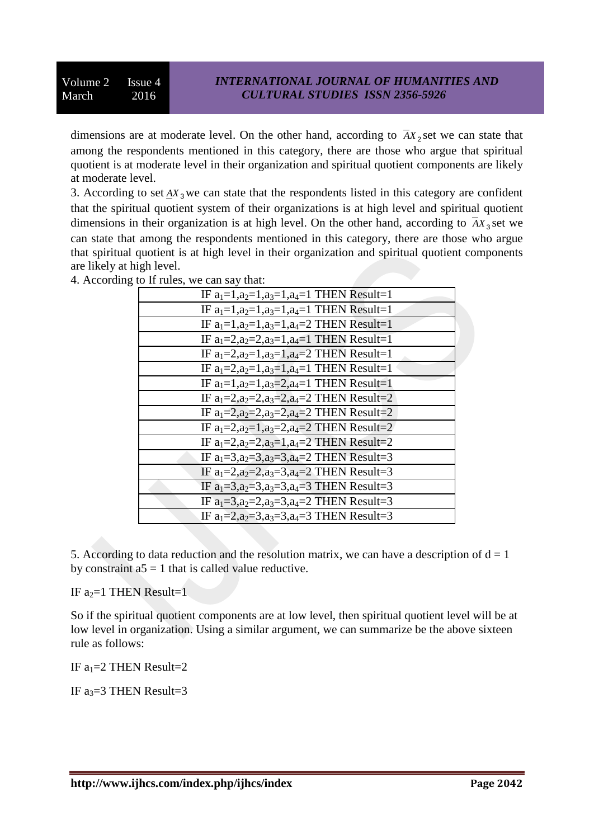dimensions are at moderate level. On the other hand, according to  $AX<sub>2</sub>$  set we can state that among the respondents mentioned in this category, there are those who argue that spiritual quotient is at moderate level in their organization and spiritual quotient components are likely at moderate level.

3. According to set  $\Delta X_3$  we can state that the respondents listed in this category are confident that the spiritual quotient system of their organizations is at high level and spiritual quotient dimensions in their organization is at high level. On the other hand, according to  $\overline{A}X_3$  set we can state that among the respondents mentioned in this category, there are those who argue that spiritual quotient is at high level in their organization and spiritual quotient components are likely at high level.

| IF $a_1=1, a_2=1, a_3=1, a_4=1$ THEN Result=1          |
|--------------------------------------------------------|
| IF $a_1=1, a_2=1, a_3=1, a_4=1$ THEN Result=1          |
| IF $a_1=1, a_2=1, a_3=1, a_4=2$ THEN Result=1          |
| IF $a_1=2$ , $a_2=2$ , $a_3=1$ , $a_4=1$ THEN Result=1 |
| IF $a_1=2$ , $a_2=1$ , $a_3=1$ , $a_4=2$ THEN Result=1 |
| IF $a_1=2$ , $a_2=1$ , $a_3=1$ , $a_4=1$ THEN Result=1 |
| IF $a_1=1, a_2=1, a_3=2, a_4=1$ THEN Result=1          |
| IF $a_1=2$ , $a_2=2$ , $a_3=2$ , $a_4=2$ THEN Result=2 |
| IF $a_1=2$ , $a_2=2$ , $a_3=2$ , $a_4=2$ THEN Result=2 |
| IF $a_1=2$ , $a_2=1$ , $a_3=2$ , $a_4=2$ THEN Result=2 |
| IF $a_1=2$ , $a_2=2$ , $a_3=1$ , $a_4=2$ THEN Result=2 |
| IF $a_1=3, a_2=3, a_3=3, a_4=2$ THEN Result=3          |
| IF $a_1=2$ , $a_2=2$ , $a_3=3$ , $a_4=2$ THEN Result=3 |
| IF $a_1=3$ , $a_2=3$ , $a_3=3$ , $a_4=3$ THEN Result=3 |
| IF $a_1=3$ , $a_2=2$ , $a_3=3$ , $a_4=2$ THEN Result=3 |
| IF $a_1=2$ , $a_2=3$ , $a_3=3$ , $a_4=3$ THEN Result=3 |

4. According to If rules, we can say that:

5. According to data reduction and the resolution matrix, we can have a description of  $d = 1$ by constraint  $a5 = 1$  that is called value reductive.

IF  $a_2=1$  THEN Result=1

So if the spiritual quotient components are at low level, then spiritual quotient level will be at low level in organization. Using a similar argument, we can summarize be the above sixteen rule as follows:

IF  $a_1=2$  THEN Result=2

IF  $a_3=3$  THEN Result=3